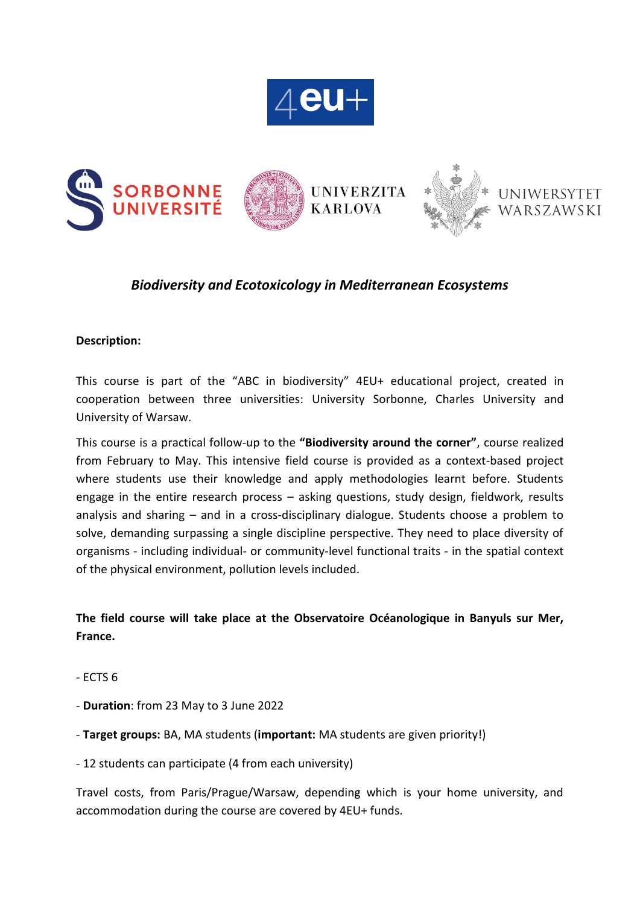



## *Biodiversity and Ecotoxicology in Mediterranean Ecosystems*

#### **Description:**

This course is part of the "ABC in biodiversity" 4EU+ educational project, created in cooperation between three universities: University Sorbonne, Charles University and University of Warsaw.

This course is a practical follow-up to the **"Biodiversity around the corner"**, course realized from February to May. This intensive field course is provided as a context-based project where students use their knowledge and apply methodologies learnt before. Students engage in the entire research process – asking questions, study design, fieldwork, results analysis and sharing – and in a cross-disciplinary dialogue. Students choose a problem to solve, demanding surpassing a single discipline perspective. They need to place diversity of organisms - including individual- or community-level functional traits - in the spatial context of the physical environment, pollution levels included.

### **The field course will take place at the Observatoire Océanologique in Banyuls sur Mer, France.**

- ECTS 6
- **Duration**: from 23 May to 3 June 2022
- **Target groups:** BA, MA students (**important:** MA students are given priority!)
- 12 students can participate (4 from each university)

Travel costs, from Paris/Prague/Warsaw, depending which is your home university, and accommodation during the course are covered by 4EU+ funds.